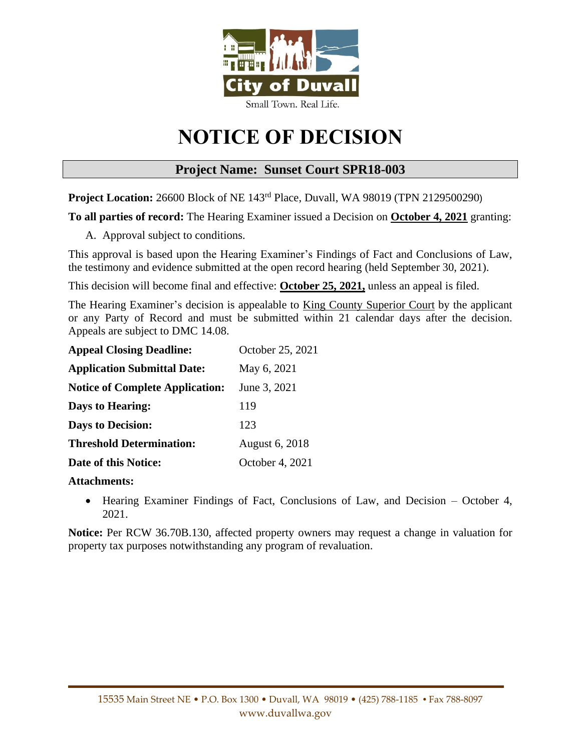

# **NOTICE OF DECISION**

# **Project Name: Sunset Court SPR18-003**

**Project Location:** 26600 Block of NE 143rd Place, Duvall, WA 98019 (TPN 2129500290)

**To all parties of record:** The Hearing Examiner issued a Decision on **October 4, 2021** granting:

A. Approval subject to conditions.

This approval is based upon the Hearing Examiner's Findings of Fact and Conclusions of Law, the testimony and evidence submitted at the open record hearing (held September 30, 2021).

This decision will become final and effective: **October 25, 2021,** unless an appeal is filed.

The Hearing Examiner's decision is appealable to King County Superior Court by the applicant or any Party of Record and must be submitted within 21 calendar days after the decision. Appeals are subject to DMC 14.08.

| <b>Appeal Closing Deadline:</b>        | October 25, 2021 |
|----------------------------------------|------------------|
| <b>Application Submittal Date:</b>     | May 6, 2021      |
| <b>Notice of Complete Application:</b> | June 3, 2021     |
| Days to Hearing:                       | 119              |
| <b>Days to Decision:</b>               | 123              |
| <b>Threshold Determination:</b>        | August 6, 2018   |
| Date of this Notice:                   | October 4, 2021  |

# **Attachments:**

• Hearing Examiner Findings of Fact, Conclusions of Law, and Decision – October 4, 2021.

**Notice:** Per RCW 36.70B.130, affected property owners may request a change in valuation for property tax purposes notwithstanding any program of revaluation.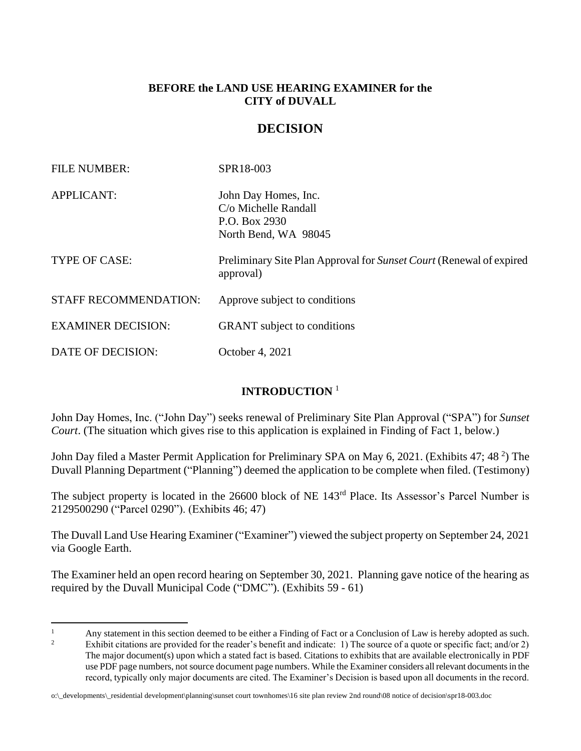# **BEFORE the LAND USE HEARING EXAMINER for the CITY of DUVALL**

# **DECISION**

| <b>FILE NUMBER:</b>          | SPR18-003                                                                                    |
|------------------------------|----------------------------------------------------------------------------------------------|
| <b>APPLICANT:</b>            | John Day Homes, Inc.<br>$C/\sigma$ Michelle Randall<br>P.O. Box 2930<br>North Bend, WA 98045 |
| TYPE OF CASE:                | Preliminary Site Plan Approval for Sunset Court (Renewal of expired<br>approval)             |
| <b>STAFF RECOMMENDATION:</b> | Approve subject to conditions                                                                |
| <b>EXAMINER DECISION:</b>    | <b>GRANT</b> subject to conditions                                                           |
| DATE OF DECISION:            | October 4, 2021                                                                              |

# **INTRODUCTION** <sup>1</sup>

John Day Homes, Inc. ("John Day") seeks renewal of Preliminary Site Plan Approval ("SPA") for *Sunset Court*. (The situation which gives rise to this application is explained in Finding of Fact 1, below.)

John Day filed a Master Permit Application for Preliminary SPA on May 6, 2021. (Exhibits 47; 48<sup>2</sup>) The Duvall Planning Department ("Planning") deemed the application to be complete when filed. (Testimony)

The subject property is located in the 26600 block of NE 143rd Place. Its Assessor's Parcel Number is 2129500290 ("Parcel 0290"). (Exhibits 46; 47)

The Duvall Land Use Hearing Examiner ("Examiner") viewed the subject property on September 24, 2021 via Google Earth.

The Examiner held an open record hearing on September 30, 2021. Planning gave notice of the hearing as required by the Duvall Municipal Code ("DMC"). (Exhibits 59 - 61)

<sup>&</sup>lt;sup>1</sup> Any statement in this section deemed to be either a Finding of Fact or a Conclusion of Law is hereby adopted as such.<br><sup>2</sup> Enhibit site time are gravited for the grad and hereby and indicates 1). The graves of a mote a

Exhibit citations are provided for the reader's benefit and indicate: 1) The source of a quote or specific fact; and/or 2) The major document(s) upon which a stated fact is based. Citations to exhibits that are available electronically in PDF use PDF page numbers, not source document page numbers. While the Examiner considers all relevant documents in the record, typically only major documents are cited. The Examiner's Decision is based upon all documents in the record.

o:\\_developments\\_residential development\planning\sunset court townhomes\16 site plan review 2nd round\08 notice of decision\spr18-003.doc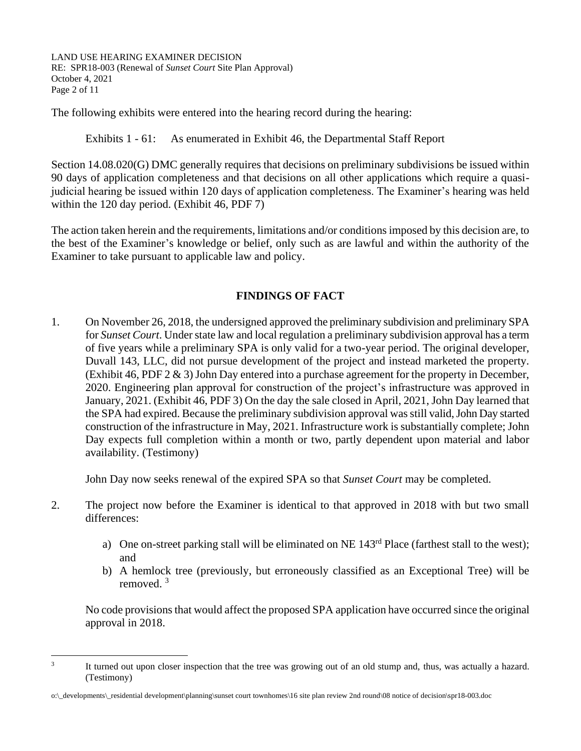LAND USE HEARING EXAMINER DECISION RE: SPR18-003 (Renewal of *Sunset Court* Site Plan Approval) October 4, 2021 Page 2 of 11

The following exhibits were entered into the hearing record during the hearing:

Exhibits 1 - 61: As enumerated in Exhibit 46, the Departmental Staff Report

Section 14.08.020(G) DMC generally requires that decisions on preliminary subdivisions be issued within 90 days of application completeness and that decisions on all other applications which require a quasijudicial hearing be issued within 120 days of application completeness. The Examiner's hearing was held within the 120 day period. (Exhibit 46, PDF 7)

The action taken herein and the requirements, limitations and/or conditions imposed by this decision are, to the best of the Examiner's knowledge or belief, only such as are lawful and within the authority of the Examiner to take pursuant to applicable law and policy.

# **FINDINGS OF FACT**

1. On November 26, 2018, the undersigned approved the preliminary subdivision and preliminary SPA for *Sunset Court*. Under state law and local regulation a preliminary subdivision approval has a term of five years while a preliminary SPA is only valid for a two-year period. The original developer, Duvall 143, LLC, did not pursue development of the project and instead marketed the property. (Exhibit 46, PDF 2 & 3) John Day entered into a purchase agreement for the property in December, 2020. Engineering plan approval for construction of the project's infrastructure was approved in January, 2021. (Exhibit 46, PDF 3) On the day the sale closed in April, 2021, John Day learned that the SPA had expired. Because the preliminary subdivision approval was still valid,John Day started construction of the infrastructure in May, 2021. Infrastructure work is substantially complete; John Day expects full completion within a month or two, partly dependent upon material and labor availability. (Testimony)

John Day now seeks renewal of the expired SPA so that *Sunset Court* may be completed.

- 2. The project now before the Examiner is identical to that approved in 2018 with but two small differences:
	- a) One on-street parking stall will be eliminated on NE 143<sup>rd</sup> Place (farthest stall to the west); and
	- b) A hemlock tree (previously, but erroneously classified as an Exceptional Tree) will be removed. <sup>3</sup>

No code provisions that would affect the proposed SPA application have occurred since the original approval in 2018.

<sup>3</sup> It turned out upon closer inspection that the tree was growing out of an old stump and, thus, was actually a hazard. (Testimony)

o:\\_developments\\_residential development\planning\sunset court townhomes\16 site plan review 2nd round\08 notice of decision\spr18-003.doc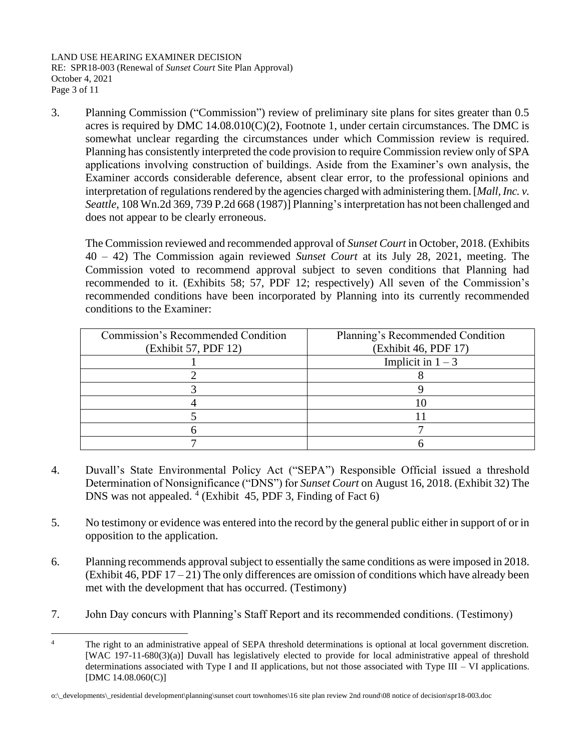LAND USE HEARING EXAMINER DECISION RE: SPR18-003 (Renewal of *Sunset Court* Site Plan Approval) October 4, 2021 Page 3 of 11

3. Planning Commission ("Commission") review of preliminary site plans for sites greater than 0.5 acres is required by DMC  $14.08.010(C)(2)$ , Footnote 1, under certain circumstances. The DMC is somewhat unclear regarding the circumstances under which Commission review is required. Planning has consistently interpreted the code provision to require Commission review only of SPA applications involving construction of buildings. Aside from the Examiner's own analysis, the Examiner accords considerable deference, absent clear error, to the professional opinions and interpretation of regulations rendered by the agencies charged with administering them. [*Mall, Inc. v. Seattle*, 108 Wn.2d 369, 739 P.2d 668 (1987)] Planning's interpretation has not been challenged and does not appear to be clearly erroneous.

The Commission reviewed and recommended approval of *Sunset Court* in October, 2018. (Exhibits 40 – 42) The Commission again reviewed *Sunset Court* at its July 28, 2021, meeting. The Commission voted to recommend approval subject to seven conditions that Planning had recommended to it. (Exhibits 58; 57, PDF 12; respectively) All seven of the Commission's recommended conditions have been incorporated by Planning into its currently recommended conditions to the Examiner:

| Commission's Recommended Condition<br>(Exhibit 57, PDF 12) | Planning's Recommended Condition<br>(Exhibit 46, PDF 17) |
|------------------------------------------------------------|----------------------------------------------------------|
|                                                            | Implicit in $1 - 3$                                      |
|                                                            |                                                          |
|                                                            |                                                          |
|                                                            |                                                          |
|                                                            |                                                          |
|                                                            |                                                          |
|                                                            |                                                          |

- 4. Duvall's State Environmental Policy Act ("SEPA") Responsible Official issued a threshold Determination of Nonsignificance ("DNS") for *Sunset Court* on August 16, 2018. (Exhibit 32) The DNS was not appealed. 4 (Exhibit 45, PDF 3, Finding of Fact 6)
- 5. No testimony or evidence was entered into the record by the general public either in support of or in opposition to the application.
- 6. Planning recommends approval subject to essentially the same conditions as were imposed in 2018. (Exhibit 46, PDF  $17 - 21$ ) The only differences are omission of conditions which have already been met with the development that has occurred. (Testimony)
- 7. John Day concurs with Planning's Staff Report and its recommended conditions. (Testimony)

<sup>&</sup>lt;sup>4</sup> The right to an administrative appeal of SEPA threshold determinations is optional at local government discretion. [WAC 197-11-680(3)(a)] Duvall has legislatively elected to provide for local administrative appeal of threshold determinations associated with Type I and II applications, but not those associated with Type III – VI applications. [DMC 14.08.060(C)]

o:\\_developments\\_residential development\planning\sunset court townhomes\16 site plan review 2nd round\08 notice of decision\spr18-003.doc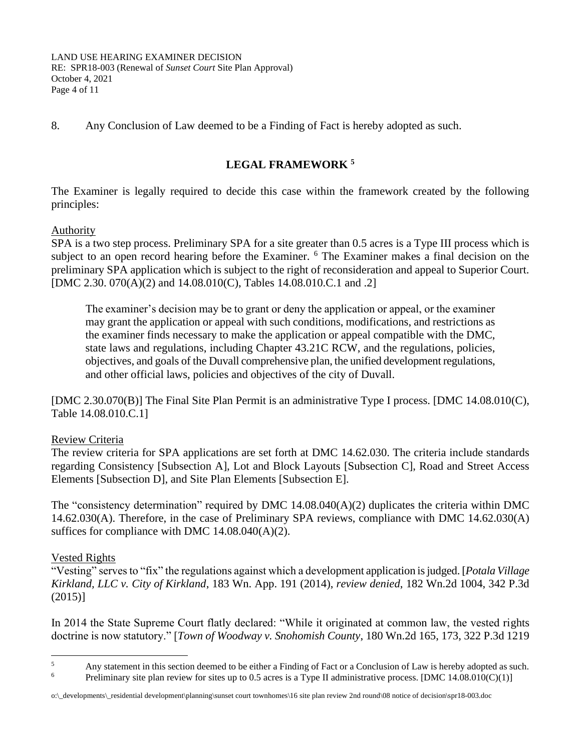LAND USE HEARING EXAMINER DECISION RE: SPR18-003 (Renewal of *Sunset Court* Site Plan Approval) October 4, 2021 Page 4 of 11

8. Any Conclusion of Law deemed to be a Finding of Fact is hereby adopted as such.

# **LEGAL FRAMEWORK <sup>5</sup>**

The Examiner is legally required to decide this case within the framework created by the following principles:

# Authority

SPA is a two step process. Preliminary SPA for a site greater than 0.5 acres is a Type III process which is subject to an open record hearing before the Examiner. <sup>6</sup> The Examiner makes a final decision on the preliminary SPA application which is subject to the right of reconsideration and appeal to Superior Court. [DMC 2.30. 070(A)(2) and 14.08.010(C), Tables 14.08.010.C.1 and .2]

The examiner's decision may be to grant or deny the application or appeal, or the examiner may grant the application or appeal with such conditions, modifications, and restrictions as the examiner finds necessary to make the application or appeal compatible with the DMC, state laws and regulations, including Chapter 43.21C RCW, and the regulations, policies, objectives, and goals of the Duvall comprehensive plan, the unified development regulations, and other official laws, policies and objectives of the city of Duvall.

[DMC 2.30.070(B)] The Final Site Plan Permit is an administrative Type I process. [DMC 14.08.010(C), Table 14.08.010.C.1]

# Review Criteria

The review criteria for SPA applications are set forth at DMC 14.62.030. The criteria include standards regarding Consistency [Subsection A], Lot and Block Layouts [Subsection C], Road and Street Access Elements [Subsection D], and Site Plan Elements [Subsection E].

The "consistency determination" required by DMC 14.08.040(A)(2) duplicates the criteria within DMC 14.62.030(A). Therefore, in the case of Preliminary SPA reviews, compliance with DMC 14.62.030(A) suffices for compliance with DMC 14.08.040(A)(2).

# Vested Rights

"Vesting" serves to "fix" the regulations against which a development application is judged. [*Potala Village Kirkland, LLC v. City of Kirkland*, 183 Wn. App. 191 (2014), *review denied*, 182 Wn.2d 1004, 342 P.3d (2015)]

In 2014 the State Supreme Court flatly declared: "While it originated at common law, the vested rights doctrine is now statutory." [*Town of Woodway v. Snohomish County*, 180 Wn.2d 165, 173, 322 P.3d 1219

<sup>&</sup>lt;sup>5</sup> Any statement in this section deemed to be either a Finding of Fact or a Conclusion of Law is hereby adopted as such.<br><sup>6</sup> Decliminary site plan rayiov for sites up to 0.5 acros is a Type II administrative process. IDM

Preliminary site plan review for sites up to 0.5 acres is a Type II administrative process. [DMC 14.08.010(C)(1)]

o:\\_developments\\_residential development\planning\sunset court townhomes\16 site plan review 2nd round\08 notice of decision\spr18-003.doc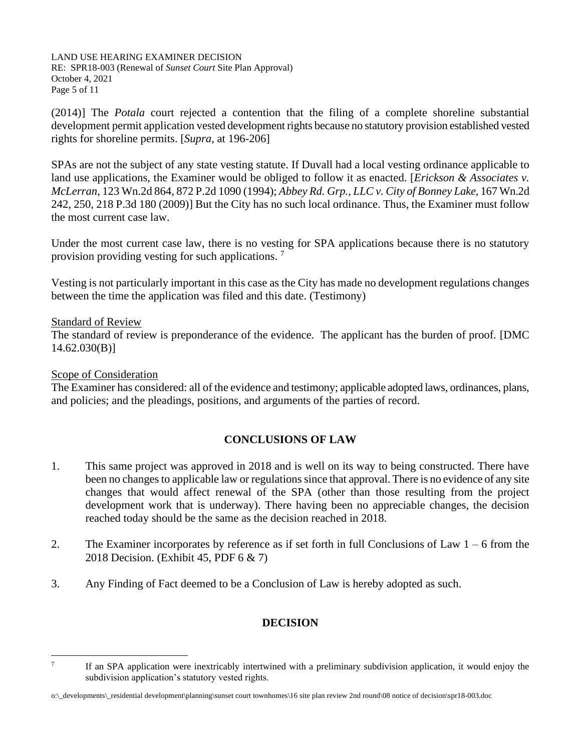LAND USE HEARING EXAMINER DECISION RE: SPR18-003 (Renewal of *Sunset Court* Site Plan Approval) October 4, 2021 Page 5 of 11

(2014)] The *Potala* court rejected a contention that the filing of a complete shoreline substantial development permit application vested development rights because no statutory provision established vested rights for shoreline permits. [*Supra*, at 196-206]

SPAs are not the subject of any state vesting statute. If Duvall had a local vesting ordinance applicable to land use applications, the Examiner would be obliged to follow it as enacted. [*Erickson & Associates v. McLerran*, 123 Wn.2d 864, 872 P.2d 1090 (1994); *Abbey Rd. Grp., LLC v. City of Bonney Lake,* 167 Wn.2d 242, 250, 218 P.3d 180 (2009)] But the City has no such local ordinance. Thus, the Examiner must follow the most current case law.

Under the most current case law, there is no vesting for SPA applications because there is no statutory provision providing vesting for such applications. <sup>7</sup>

Vesting is not particularly important in this case as the City has made no development regulations changes between the time the application was filed and this date. (Testimony)

#### Standard of Review

The standard of review is preponderance of the evidence. The applicant has the burden of proof. [DMC 14.62.030(B)]

#### Scope of Consideration

The Examiner has considered: all of the evidence and testimony; applicable adopted laws, ordinances, plans, and policies; and the pleadings, positions, and arguments of the parties of record.

# **CONCLUSIONS OF LAW**

- 1. This same project was approved in 2018 and is well on its way to being constructed. There have been no changes to applicable law or regulations since that approval. There is no evidence of any site changes that would affect renewal of the SPA (other than those resulting from the project development work that is underway). There having been no appreciable changes, the decision reached today should be the same as the decision reached in 2018.
- 2. The Examiner incorporates by reference as if set forth in full Conclusions of Law  $1 6$  from the 2018 Decision. (Exhibit 45, PDF 6 & 7)
- 3. Any Finding of Fact deemed to be a Conclusion of Law is hereby adopted as such.

#### **DECISION**

<sup>7</sup> If an SPA application were inextricably intertwined with a preliminary subdivision application, it would enjoy the subdivision application's statutory vested rights.

o:\\_developments\\_residential development\planning\sunset court townhomes\16 site plan review 2nd round\08 notice of decision\spr18-003.doc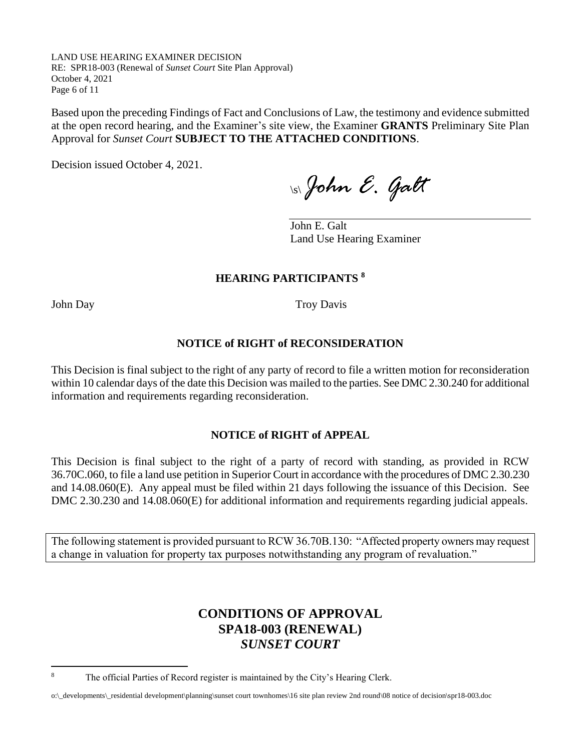LAND USE HEARING EXAMINER DECISION RE: SPR18-003 (Renewal of *Sunset Court* Site Plan Approval) October 4, 2021 Page 6 of 11

Based upon the preceding Findings of Fact and Conclusions of Law, the testimony and evidence submitted at the open record hearing, and the Examiner's site view, the Examiner **GRANTS** Preliminary Site Plan Approval for *Sunset Court* **SUBJECT TO THE ATTACHED CONDITIONS**.

Decision issued October 4, 2021.

\s\*John E. Galt*

John E. Galt Land Use Hearing Examiner

# **HEARING PARTICIPANTS <sup>8</sup>**

John Day Troy Davis

### **NOTICE of RIGHT of RECONSIDERATION**

This Decision is final subject to the right of any party of record to file a written motion for reconsideration within 10 calendar days of the date this Decision was mailed to the parties. See DMC 2.30.240 for additional information and requirements regarding reconsideration.

#### **NOTICE of RIGHT of APPEAL**

This Decision is final subject to the right of a party of record with standing, as provided in RCW 36.70C.060, to file a land use petition in Superior Court in accordance with the procedures of DMC 2.30.230 and 14.08.060(E). Any appeal must be filed within 21 days following the issuance of this Decision. See DMC 2.30.230 and 14.08.060(E) for additional information and requirements regarding judicial appeals.

The following statement is provided pursuant to RCW 36.70B.130: "Affected property owners may request a change in valuation for property tax purposes notwithstanding any program of revaluation."

# **CONDITIONS OF APPROVAL SPA18-003 (RENEWAL)** *SUNSET COURT*

<sup>&</sup>lt;sup>8</sup> The official Parties of Record register is maintained by the City's Hearing Clerk.

o:\\_developments\\_residential development\planning\sunset court townhomes\16 site plan review 2nd round\08 notice of decision\spr18-003.doc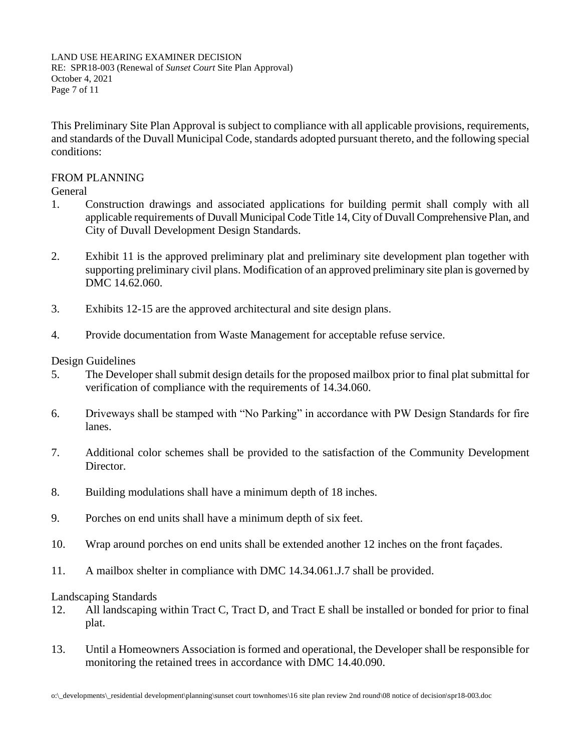LAND USE HEARING EXAMINER DECISION RE: SPR18-003 (Renewal of *Sunset Court* Site Plan Approval) October 4, 2021 Page 7 of 11

This Preliminary Site Plan Approval is subject to compliance with all applicable provisions, requirements, and standards of the Duvall Municipal Code, standards adopted pursuant thereto, and the following special conditions:

#### FROM PLANNING

General

- 1. Construction drawings and associated applications for building permit shall comply with all applicable requirements of Duvall Municipal Code Title 14, City of Duvall Comprehensive Plan, and City of Duvall Development Design Standards.
- 2. Exhibit 11 is the approved preliminary plat and preliminary site development plan together with supporting preliminary civil plans. Modification of an approved preliminary site plan is governed by DMC 14.62.060.
- 3. Exhibits 12-15 are the approved architectural and site design plans.
- 4. Provide documentation from Waste Management for acceptable refuse service.

Design Guidelines

- 5. The Developer shall submit design details for the proposed mailbox prior to final plat submittal for verification of compliance with the requirements of 14.34.060.
- 6. Driveways shall be stamped with "No Parking" in accordance with PW Design Standards for fire lanes.
- 7. Additional color schemes shall be provided to the satisfaction of the Community Development Director.
- 8. Building modulations shall have a minimum depth of 18 inches.
- 9. Porches on end units shall have a minimum depth of six feet.
- 10. Wrap around porches on end units shall be extended another 12 inches on the front façades.
- 11. A mailbox shelter in compliance with DMC 14.34.061.J.7 shall be provided.

Landscaping Standards

- 12. All landscaping within Tract C, Tract D, and Tract E shall be installed or bonded for prior to final plat.
- 13. Until a Homeowners Association is formed and operational, the Developer shall be responsible for monitoring the retained trees in accordance with DMC 14.40.090.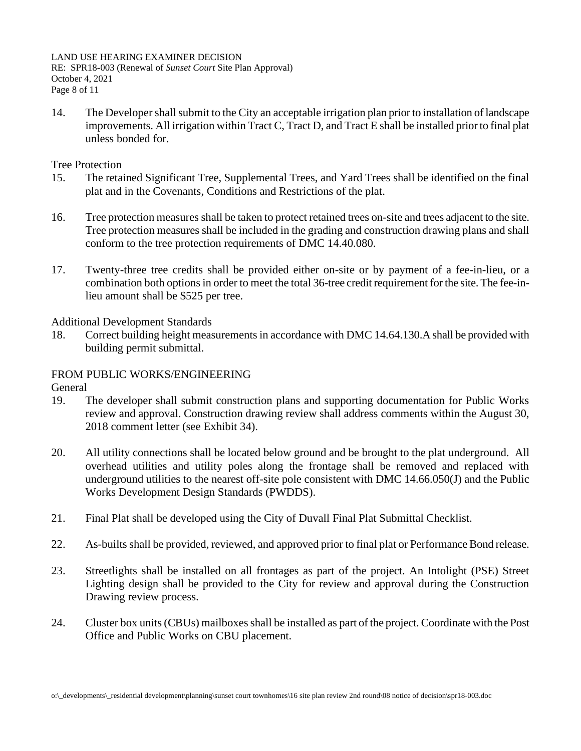LAND USE HEARING EXAMINER DECISION RE: SPR18-003 (Renewal of *Sunset Court* Site Plan Approval) October 4, 2021 Page 8 of 11

14. The Developer shall submit to the City an acceptable irrigation plan prior to installation of landscape improvements. All irrigation within Tract C, Tract D, and Tract E shall be installed prior to final plat unless bonded for.

Tree Protection

- 15. The retained Significant Tree, Supplemental Trees, and Yard Trees shall be identified on the final plat and in the Covenants, Conditions and Restrictions of the plat.
- 16. Tree protection measures shall be taken to protect retained trees on-site and trees adjacent to the site. Tree protection measures shall be included in the grading and construction drawing plans and shall conform to the tree protection requirements of DMC 14.40.080.
- 17. Twenty-three tree credits shall be provided either on-site or by payment of a fee-in-lieu, or a combination both options in order to meet the total 36-tree credit requirement for the site. The fee-inlieu amount shall be \$525 per tree.

Additional Development Standards

18. Correct building height measurements in accordance with DMC 14.64.130.A shall be provided with building permit submittal.

#### FROM PUBLIC WORKS/ENGINEERING

General

- 19. The developer shall submit construction plans and supporting documentation for Public Works review and approval. Construction drawing review shall address comments within the August 30, 2018 comment letter (see Exhibit 34).
- 20. All utility connections shall be located below ground and be brought to the plat underground. All overhead utilities and utility poles along the frontage shall be removed and replaced with underground utilities to the nearest off-site pole consistent with DMC 14.66.050(J) and the Public Works Development Design Standards (PWDDS).
- 21. Final Plat shall be developed using the City of Duvall Final Plat Submittal Checklist.
- 22. As-builts shall be provided, reviewed, and approved prior to final plat or Performance Bond release.
- 23. Streetlights shall be installed on all frontages as part of the project. An Intolight (PSE) Street Lighting design shall be provided to the City for review and approval during the Construction Drawing review process.
- 24. Cluster box units (CBUs) mailboxes shall be installed as part of the project. Coordinate with the Post Office and Public Works on CBU placement.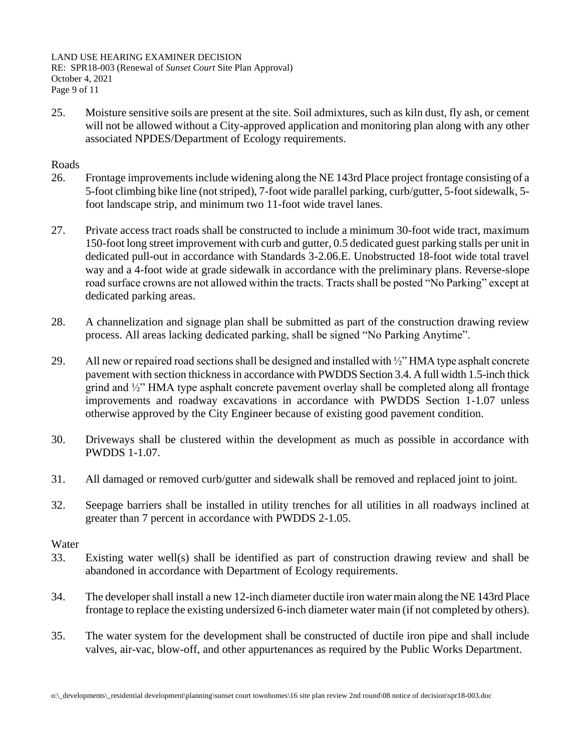LAND USE HEARING EXAMINER DECISION RE: SPR18-003 (Renewal of *Sunset Court* Site Plan Approval) October 4, 2021 Page 9 of 11

25. Moisture sensitive soils are present at the site. Soil admixtures, such as kiln dust, fly ash, or cement will not be allowed without a City-approved application and monitoring plan along with any other associated NPDES/Department of Ecology requirements.

## Roads

- 26. Frontage improvements include widening along the NE 143rd Place project frontage consisting of a 5-foot climbing bike line (not striped), 7-foot wide parallel parking, curb/gutter, 5-foot sidewalk, 5 foot landscape strip, and minimum two 11-foot wide travel lanes.
- 27. Private access tract roads shall be constructed to include a minimum 30-foot wide tract, maximum 150-foot long street improvement with curb and gutter, 0.5 dedicated guest parking stalls per unit in dedicated pull-out in accordance with Standards 3-2.06.E. Unobstructed 18-foot wide total travel way and a 4-foot wide at grade sidewalk in accordance with the preliminary plans. Reverse-slope road surface crowns are not allowed within the tracts. Tracts shall be posted "No Parking" except at dedicated parking areas.
- 28. A channelization and signage plan shall be submitted as part of the construction drawing review process. All areas lacking dedicated parking, shall be signed "No Parking Anytime".
- 29. All new or repaired road sections shall be designed and installed with ½" HMA type asphalt concrete pavement with section thickness in accordance with PWDDS Section 3.4. A full width 1.5-inch thick grind and ½" HMA type asphalt concrete pavement overlay shall be completed along all frontage improvements and roadway excavations in accordance with PWDDS Section 1-1.07 unless otherwise approved by the City Engineer because of existing good pavement condition.
- 30. Driveways shall be clustered within the development as much as possible in accordance with PWDDS 1-1.07.
- 31. All damaged or removed curb/gutter and sidewalk shall be removed and replaced joint to joint.
- 32. Seepage barriers shall be installed in utility trenches for all utilities in all roadways inclined at greater than 7 percent in accordance with PWDDS 2-1.05.

#### Water

- 33. Existing water well(s) shall be identified as part of construction drawing review and shall be abandoned in accordance with Department of Ecology requirements.
- 34. The developer shall install a new 12-inch diameter ductile iron water main along the NE 143rd Place frontage to replace the existing undersized 6-inch diameter water main (if not completed by others).
- 35. The water system for the development shall be constructed of ductile iron pipe and shall include valves, air-vac, blow-off, and other appurtenances as required by the Public Works Department.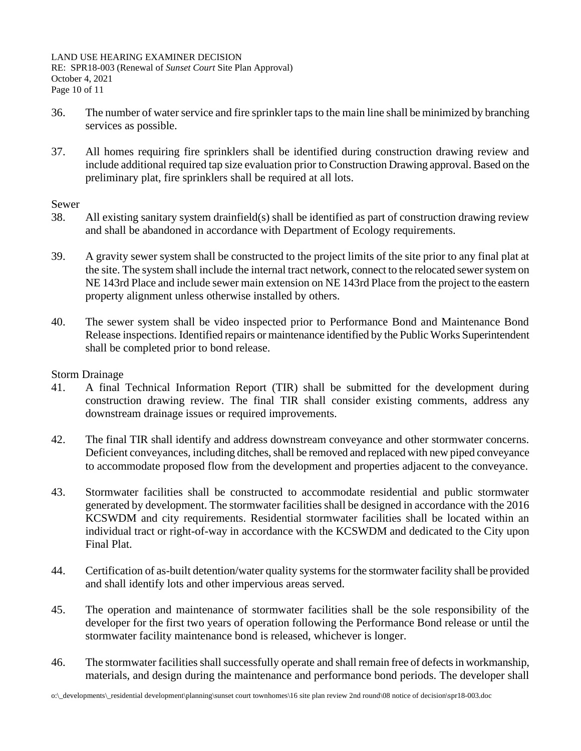LAND USE HEARING EXAMINER DECISION RE: SPR18-003 (Renewal of *Sunset Court* Site Plan Approval) October 4, 2021 Page 10 of 11

- 36. The number of water service and fire sprinkler taps to the main line shall be minimized by branching services as possible.
- 37. All homes requiring fire sprinklers shall be identified during construction drawing review and include additional required tap size evaluation prior to Construction Drawing approval. Based on the preliminary plat, fire sprinklers shall be required at all lots.

#### Sewer

- 38. All existing sanitary system drainfield(s) shall be identified as part of construction drawing review and shall be abandoned in accordance with Department of Ecology requirements.
- 39. A gravity sewer system shall be constructed to the project limits of the site prior to any final plat at the site. The system shall include the internal tract network, connect to the relocated sewer system on NE 143rd Place and include sewer main extension on NE 143rd Place from the project to the eastern property alignment unless otherwise installed by others.
- 40. The sewer system shall be video inspected prior to Performance Bond and Maintenance Bond Release inspections. Identified repairs or maintenance identified by the Public Works Superintendent shall be completed prior to bond release.

#### Storm Drainage

- 41. A final Technical Information Report (TIR) shall be submitted for the development during construction drawing review. The final TIR shall consider existing comments, address any downstream drainage issues or required improvements.
- 42. The final TIR shall identify and address downstream conveyance and other stormwater concerns. Deficient conveyances, including ditches, shall be removed and replaced with new piped conveyance to accommodate proposed flow from the development and properties adjacent to the conveyance.
- 43. Stormwater facilities shall be constructed to accommodate residential and public stormwater generated by development. The stormwater facilities shall be designed in accordance with the 2016 KCSWDM and city requirements. Residential stormwater facilities shall be located within an individual tract or right-of-way in accordance with the KCSWDM and dedicated to the City upon Final Plat.
- 44. Certification of as-built detention/water quality systems for the stormwater facility shall be provided and shall identify lots and other impervious areas served.
- 45. The operation and maintenance of stormwater facilities shall be the sole responsibility of the developer for the first two years of operation following the Performance Bond release or until the stormwater facility maintenance bond is released, whichever is longer.
- 46. The stormwater facilities shall successfully operate and shall remain free of defects in workmanship, materials, and design during the maintenance and performance bond periods. The developer shall